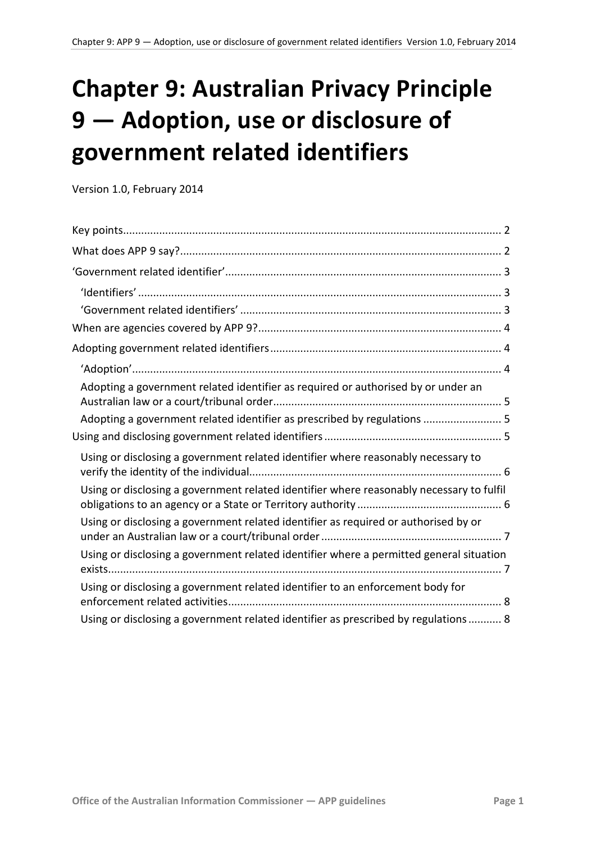# **Chapter 9: Australian Privacy Principle 9 — Adoption, use or disclosure of government related identifiers**

Version 1.0, February 2014

<span id="page-0-0"></span>

| Adopting a government related identifier as required or authorised by or under an        |
|------------------------------------------------------------------------------------------|
| Adopting a government related identifier as prescribed by regulations  5                 |
|                                                                                          |
| Using or disclosing a government related identifier where reasonably necessary to        |
| Using or disclosing a government related identifier where reasonably necessary to fulfil |
| Using or disclosing a government related identifier as required or authorised by or      |
| Using or disclosing a government related identifier where a permitted general situation  |
| Using or disclosing a government related identifier to an enforcement body for           |
| Using or disclosing a government related identifier as prescribed by regulations 8       |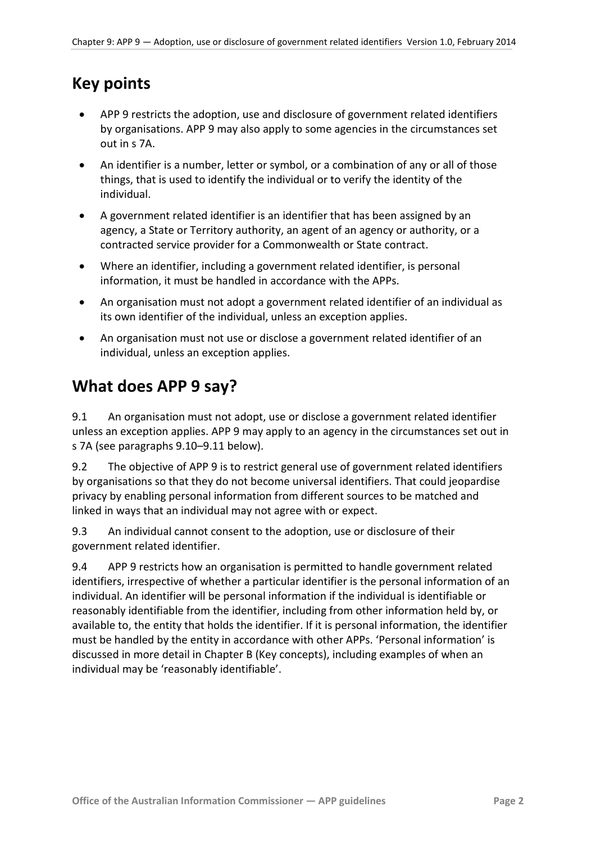# <span id="page-1-0"></span>**Key points**

- APP 9 restricts the adoption, use and disclosure of government related identifiers by organisations. APP 9 may also apply to some agencies in the circumstances set out in s 7A.
- An identifier is a number, letter or symbol, or a combination of any or all of those things, that is used to identify the individual or to verify the identity of the individual.
- A government related identifier is an identifier that has been assigned by an agency, a State or Territory authority, an agent of an agency or authority, or a contracted service provider for a Commonwealth or State contract.
- Where an identifier, including a government related identifier, is personal information, it must be handled in accordance with the APPs.
- An organisation must not adopt a government related identifier of an individual as its own identifier of the individual, unless an exception applies.
- An organisation must not use or disclose a government related identifier of an individual, unless an exception applies.

# <span id="page-1-1"></span>**What does APP 9 say?**

9.1 An organisation must not adopt, use or disclose a government related identifier unless an exception applies. APP 9 may apply to an agency in the circumstances set out in s 7A (see paragraph[s 9.10](#page-3-3)[–9.11](#page-3-4) below).

9.2 The objective of APP 9 is to restrict general use of government related identifiers by organisations so that they do not become universal identifiers. That could jeopardise privacy by enabling personal information from different sources to be matched and linked in ways that an individual may not agree with or expect.

9.3 An individual cannot consent to the adoption, use or disclosure of their government related identifier.

<span id="page-1-2"></span>9.4 APP 9 restricts how an organisation is permitted to handle government related identifiers, irrespective of whether a particular identifier is the personal information of an individual. An identifier will be personal information if the individual is identifiable or reasonably identifiable from the identifier, including from other information held by, or available to, the entity that holds the identifier. If it is personal information, the identifier must be handled by the entity in accordance with other APPs. 'Personal information' is discussed in more detail in Chapter B (Key concepts), including examples of when an individual may be 'reasonably identifiable'.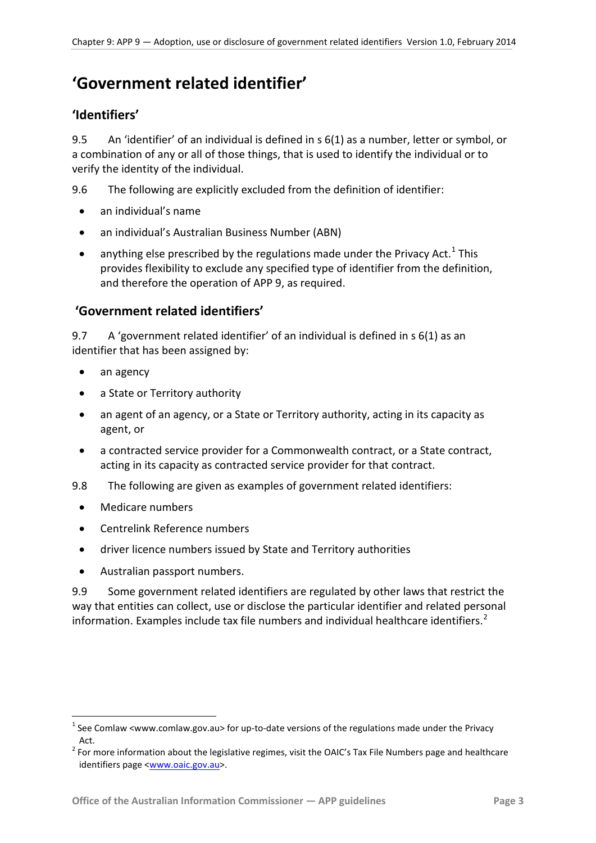# <span id="page-2-0"></span>**'Government related identifier'**

#### <span id="page-2-1"></span>**'Identifiers'**

9.5 An 'identifier' of an individual is defined in s 6(1) as a number, letter or symbol, or a combination of any or all of those things, that is used to identify the individual or to verify the identity of the individual.

9.6 The following are explicitly excluded from the definition of identifier:

- an individual's name
- an individual's Australian Business Number (ABN)
- anything else prescribed by the regulations made under the Privacy Act.<sup>[1](#page-0-0)</sup> This provides flexibility to exclude any specified type of identifier from the definition, and therefore the operation of APP 9, as required.

#### <span id="page-2-2"></span> **'Government related identifiers'**

9.7 A 'government related identifier' of an individual is defined in s 6(1) as an identifier that has been assigned by:

- an agency
- a State or Territory authority
- an agent of an agency, or a State or Territory authority, acting in its capacity as agent, or
- a contracted service provider for a Commonwealth contract, or a State contract, acting in its capacity as contracted service provider for that contract.
- 9.8 The following are given as examples of government related identifiers:
	- Medicare numbers

1

- Centrelink Reference numbers
- driver licence numbers issued by State and Territory authorities
- Australian passport numbers.

9.9 Some government related identifiers are regulated by other laws that restrict the way that entities can collect, use or disclose the particular identifier and related personal information. Examples include tax file numbers and individual healthcare identifiers.<sup>[2](#page-2-3)</sup>

<span id="page-2-4"></span><sup>&</sup>lt;sup>1</sup> See Comlaw <www.comlaw.gov.au> for up-to-date versions of the regulations made under the Privacy

<span id="page-2-3"></span>Act.<br><sup>2</sup> For more information about the legislative regimes, visit the OAIC's Tax File Numbers page and healthcare identifiers page [<www.oaic.gov.au>](http://www.oaic.gov.au/).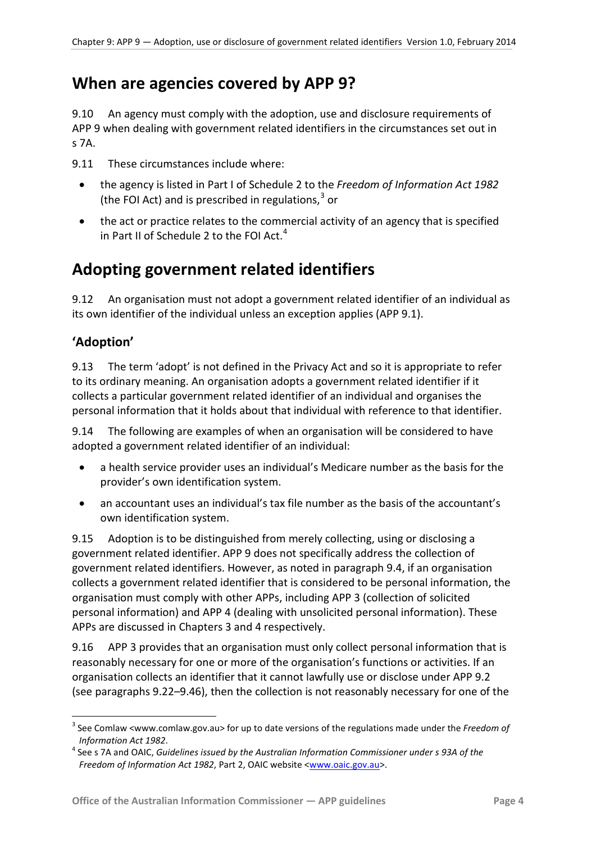# <span id="page-3-0"></span>**When are agencies covered by APP 9?**

<span id="page-3-3"></span>9.10 An agency must comply with the adoption, use and disclosure requirements of APP 9 when dealing with government related identifiers in the circumstances set out in s 7A.

<span id="page-3-4"></span>9.11 These circumstances include where:

- the agency is listed in Part I of Schedule 2 to the *Freedom of Information Act 1982* (the FOI Act) and is prescribed in regulations, [3](#page-2-4) or
- the act or practice relates to the commercial activity of an agency that is specified in Part II of Schedule 2 to the FOI Act. $<sup>4</sup>$  $<sup>4</sup>$  $<sup>4</sup>$ </sup>

# <span id="page-3-1"></span>**Adopting government related identifiers**

9.12 An organisation must not adopt a government related identifier of an individual as its own identifier of the individual unless an exception applies (APP 9.1).

# <span id="page-3-2"></span>**'Adoption'**

1

9.13 The term 'adopt' is not defined in the Privacy Act and so it is appropriate to refer to its ordinary meaning. An organisation adopts a government related identifier if it collects a particular government related identifier of an individual and organises the personal information that it holds about that individual with reference to that identifier.

9.14 The following are examples of when an organisation will be considered to have adopted a government related identifier of an individual:

- a health service provider uses an individual's Medicare number as the basis for the provider's own identification system.
- an accountant uses an individual's tax file number as the basis of the accountant's own identification system.

9.15 Adoption is to be distinguished from merely collecting, using or disclosing a government related identifier. APP 9 does not specifically address the collection of government related identifiers. However, as noted in paragraph [9.4,](#page-1-2) if an organisation collects a government related identifier that is considered to be personal information, the organisation must comply with other APPs, including APP 3 (collection of solicited personal information) and APP 4 (dealing with unsolicited personal information). These APPs are discussed in Chapters 3 and 4 respectively.

9.16 APP 3 provides that an organisation must only collect personal information that is reasonably necessary for one or more of the organisation's functions or activities. If an organisation collects an identifier that it cannot lawfully use or disclose under APP 9.2 (see paragraphs [9.22–](#page-4-3)[9.46\)](#page-8-0), then the collection is not reasonably necessary for one of the

<sup>3</sup> See Comlaw <www.comlaw.gov.au> for up to date versions of the regulations made under the *Freedom of* 

<span id="page-3-6"></span><span id="page-3-5"></span>*Information Act 1982*. 4 See s 7A and OAIC, *Guidelines issued by the Australian Information Commissioner under s 93A of the Freedom of Information Act 1982*, Part 2, OAIC website [<www.oaic.gov.au>](http://www.oaic.gov.au/).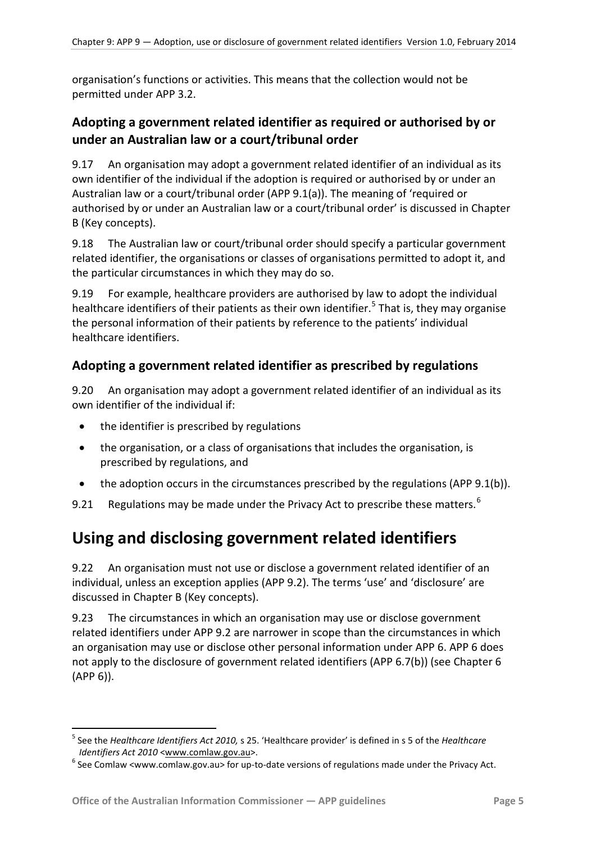organisation's functions or activities. This means that the collection would not be permitted under APP 3.2.

### <span id="page-4-0"></span>**Adopting a government related identifier as required or authorised by or under an Australian law or a court/tribunal order**

9.17 An organisation may adopt a government related identifier of an individual as its own identifier of the individual if the adoption is required or authorised by or under an Australian law or a court/tribunal order (APP 9.1(a)). The meaning of 'required or authorised by or under an Australian law or a court/tribunal order' is discussed in Chapter B (Key concepts).

9.18 The Australian law or court/tribunal order should specify a particular government related identifier, the organisations or classes of organisations permitted to adopt it, and the particular circumstances in which they may do so.

9.19 For example, healthcare providers are authorised by law to adopt the individual healthcare identifiers of their patients as their own identifier.<sup>[5](#page-3-6)</sup> That is, they may organise the personal information of their patients by reference to the patients' individual healthcare identifiers.

#### <span id="page-4-1"></span>**Adopting a government related identifier as prescribed by regulations**

9.20 An organisation may adopt a government related identifier of an individual as its own identifier of the individual if:

- the identifier is prescribed by regulations
- the organisation, or a class of organisations that includes the organisation, is prescribed by regulations, and
- the adoption occurs in the circumstances prescribed by the regulations (APP 9.1(b)).
- 9.21 Regulations may be made under the Privacy Act to prescribe these matters.<sup>[6](#page-4-4)</sup>

# <span id="page-4-2"></span>**Using and disclosing government related identifiers**

<span id="page-4-3"></span>9.22 An organisation must not use or disclose a government related identifier of an individual, unless an exception applies (APP 9.2). The terms 'use' and 'disclosure' are discussed in Chapter B (Key concepts).

9.23 The circumstances in which an organisation may use or disclose government related identifiers under APP 9.2 are narrower in scope than the circumstances in which an organisation may use or disclose other personal information under APP 6. APP 6 does not apply to the disclosure of government related identifiers (APP 6.7(b)) (see Chapter 6 (APP 6)).

-

<sup>5</sup> See the *Healthcare Identifiers Act 2010,* s 25. 'Healthcare provider' is defined in s 5 of the *Healthcare Identifiers Act 2010* [<www.comlaw.gov.au>](http://www.comlaw.gov.au/).<br><sup>6</sup> See Comlaw <www.comlaw.gov.au> for up-to-date versions of regulations made under the Privacy Act.

<span id="page-4-4"></span>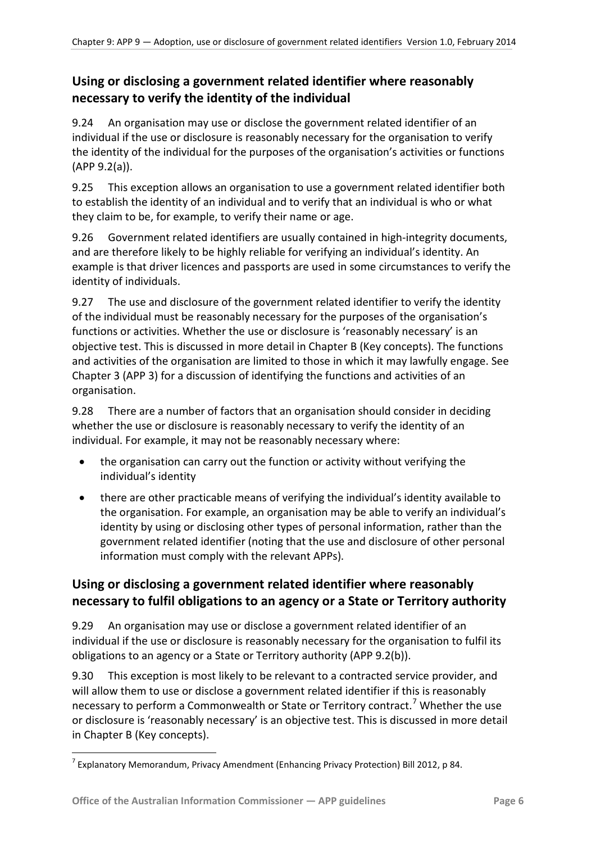# <span id="page-5-0"></span>**Using or disclosing a government related identifier where reasonably necessary to verify the identity of the individual**

9.24 An organisation may use or disclose the government related identifier of an individual if the use or disclosure is reasonably necessary for the organisation to verify the identity of the individual for the purposes of the organisation's activities or functions (APP 9.2(a)).

9.25 This exception allows an organisation to use a government related identifier both to establish the identity of an individual and to verify that an individual is who or what they claim to be, for example, to verify their name or age.

9.26 Government related identifiers are usually contained in high-integrity documents, and are therefore likely to be highly reliable for verifying an individual's identity. An example is that driver licences and passports are used in some circumstances to verify the identity of individuals.

9.27 The use and disclosure of the government related identifier to verify the identity of the individual must be reasonably necessary for the purposes of the organisation's functions or activities. Whether the use or disclosure is 'reasonably necessary' is an objective test. This is discussed in more detail in Chapter B (Key concepts). The functions and activities of the organisation are limited to those in which it may lawfully engage. See Chapter 3 (APP 3) for a discussion of identifying the functions and activities of an organisation.

9.28 There are a number of factors that an organisation should consider in deciding whether the use or disclosure is reasonably necessary to verify the identity of an individual. For example, it may not be reasonably necessary where:

- the organisation can carry out the function or activity without verifying the individual's identity
- there are other practicable means of verifying the individual's identity available to the organisation. For example, an organisation may be able to verify an individual's identity by using or disclosing other types of personal information, rather than the government related identifier (noting that the use and disclosure of other personal information must comply with the relevant APPs).

# <span id="page-5-1"></span>**Using or disclosing a government related identifier where reasonably necessary to fulfil obligations to an agency or a State or Territory authority**

9.29 An organisation may use or disclose a government related identifier of an individual if the use or disclosure is reasonably necessary for the organisation to fulfil its obligations to an agency or a State or Territory authority (APP 9.2(b)).

9.30 This exception is most likely to be relevant to a contracted service provider, and will allow them to use or disclose a government related identifier if this is reasonably necessary to perform a Commonwealth or State or Territory contract.<sup>[7](#page-4-4)</sup> Whether the use or disclosure is 'reasonably necessary' is an objective test. This is discussed in more detail in Chapter B (Key concepts).

<span id="page-5-2"></span><sup>-</sup> $^7$  Explanatory Memorandum, Privacy Amendment (Enhancing Privacy Protection) Bill 2012, p 84.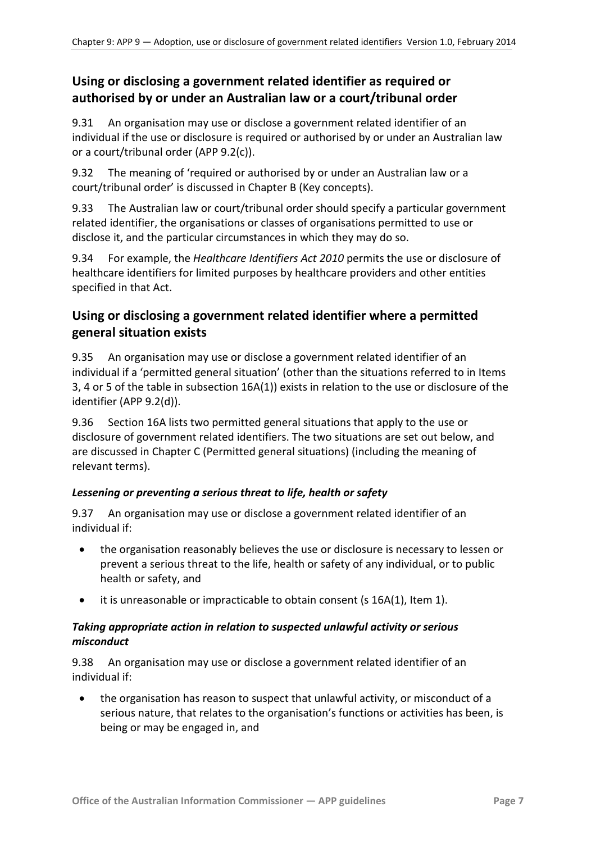### <span id="page-6-0"></span>**Using or disclosing a government related identifier as required or authorised by or under an Australian law or a court/tribunal order**

9.31 An organisation may use or disclose a government related identifier of an individual if the use or disclosure is required or authorised by or under an Australian law or a court/tribunal order (APP 9.2(c)).

9.32 The meaning of 'required or authorised by or under an Australian law or a court/tribunal order' is discussed in Chapter B (Key concepts).

9.33 The Australian law or court/tribunal order should specify a particular government related identifier, the organisations or classes of organisations permitted to use or disclose it, and the particular circumstances in which they may do so.

9.34 For example, the *Healthcare Identifiers Act 2010* permits the use or disclosure of healthcare identifiers for limited purposes by healthcare providers and other entities specified in that Act.

### <span id="page-6-1"></span>**Using or disclosing a government related identifier where a permitted general situation exists**

9.35 An organisation may use or disclose a government related identifier of an individual if a 'permitted general situation' (other than the situations referred to in Items 3, 4 or 5 of the table in subsection 16A(1)) exists in relation to the use or disclosure of the identifier (APP 9.2(d)).

9.36 Section 16A lists two permitted general situations that apply to the use or disclosure of government related identifiers. The two situations are set out below, and are discussed in Chapter C (Permitted general situations) (including the meaning of relevant terms).

#### *Lessening or preventing a serious threat to life, health or safety*

9.37 An organisation may use or disclose a government related identifier of an individual if:

- the organisation reasonably believes the use or disclosure is necessary to lessen or prevent a serious threat to the life, health or safety of any individual, or to public health or safety, and
- it is unreasonable or impracticable to obtain consent (s 16A(1), Item 1).

#### *Taking appropriate action in relation to suspected unlawful activity or serious misconduct*

9.38 An organisation may use or disclose a government related identifier of an individual if:

• the organisation has reason to suspect that unlawful activity, or misconduct of a serious nature, that relates to the organisation's functions or activities has been, is being or may be engaged in, and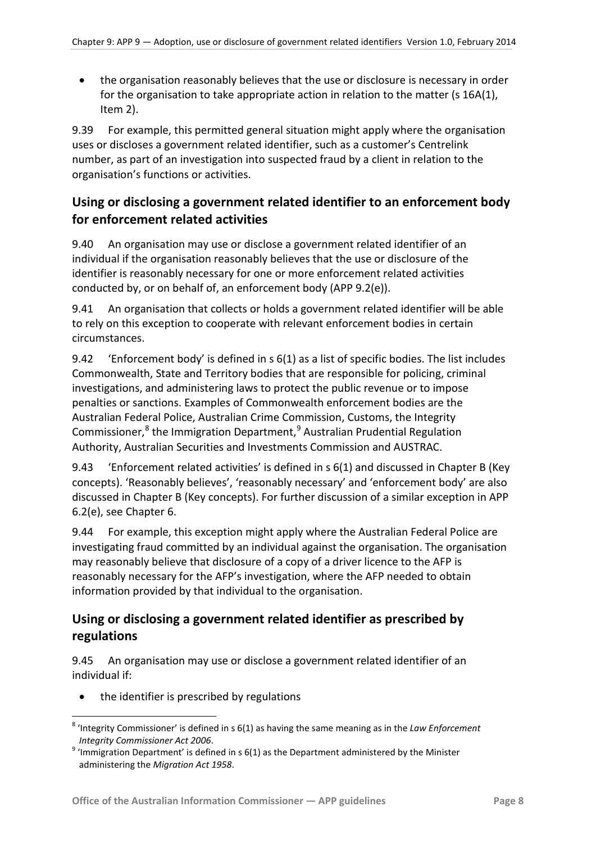• the organisation reasonably believes that the use or disclosure is necessary in order for the organisation to take appropriate action in relation to the matter (s 16A(1), Item 2).

9.39 For example, this permitted general situation might apply where the organisation uses or discloses a government related identifier, such as a customer's Centrelink number, as part of an investigation into suspected fraud by a client in relation to the organisation's functions or activities.

### <span id="page-7-0"></span>**Using or disclosing a government related identifier to an enforcement body for enforcement related activities**

9.40 An organisation may use or disclose a government related identifier of an individual if the organisation reasonably believes that the use or disclosure of the identifier is reasonably necessary for one or more enforcement related activities conducted by, or on behalf of, an enforcement body (APP 9.2(e)).

9.41 An organisation that collects or holds a government related identifier will be able to rely on this exception to cooperate with relevant enforcement bodies in certain circumstances.

9.42 'Enforcement body' is defined in s 6(1) as a list of specific bodies. The list includes Commonwealth, State and Territory bodies that are responsible for policing, criminal investigations, and administering laws to protect the public revenue or to impose penalties or sanctions. Examples of Commonwealth enforcement bodies are the Australian Federal Police, Australian Crime Commission, Customs, the Integrity Commissioner, $8$  the Immigration Department, $9$  Australian Prudential Regulation Authority, Australian Securities and Investments Commission and AUSTRAC.

9.43 'Enforcement related activities' is defined in s 6(1) and discussed in Chapter B (Key concepts). 'Reasonably believes', 'reasonably necessary' and 'enforcement body' are also discussed in Chapter B (Key concepts). For further discussion of a similar exception in APP 6.2(e), see Chapter 6.

9.44 For example, this exception might apply where the Australian Federal Police are investigating fraud committed by an individual against the organisation. The organisation may reasonably believe that disclosure of a copy of a driver licence to the AFP is reasonably necessary for the AFP's investigation, where the AFP needed to obtain information provided by that individual to the organisation.

### <span id="page-7-1"></span>**Using or disclosing a government related identifier as prescribed by regulations**

9.45 An organisation may use or disclose a government related identifier of an individual if:

• the identifier is prescribed by regulations

1

<sup>8</sup> 'Integrity Commissioner' is defined in s 6(1) as having the same meaning as in the *Law Enforcement* 

<span id="page-7-3"></span><span id="page-7-2"></span>*Integrity Commissioner Act 2006. 9* 'Immigration Department' is defined in s 6(1) as the Department administered by the Minister administering the *Migration Act 1958*.